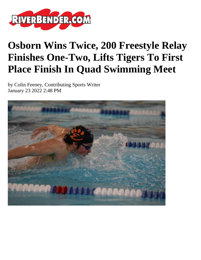

## **Osborn Wins Twice, 200 Freestyle Relay Finishes One-Two, Lifts Tigers To First Place Finish In Quad Swimming Meet**

by Colin Feeney, Contributing Sports Writer January 23 2022 2:48 PM

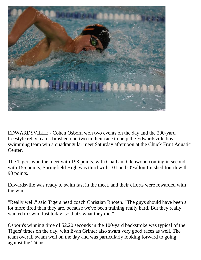

EDWARDSVILLE - Cohen Osborn won two events on the day and the 200-yard freestyle relay teams finished one-two in their race to help the Edwardsville boys swimming team win a quadrangular meet Saturday afternoon at the Chuck Fruit Aquatic Center.

The Tigers won the meet with 198 points, with Chatham Glenwood coming in second with 155 points, Springfield High was third with 101 and O'Fallon finished fourth with 90 points.

Edwardsville was ready to swim fast in the meet, and their efforts were rewarded with the win.

"Really well," said Tigers head coach Christian Rhoten. "The guys should have been a lot more tired than they are, because we've been training really hard. But they really wanted to swim fast today, so that's what they did."

Osborn's winning time of 52.20 seconds in the 100-yard backstroke was typical of the Tigers' times on the day, with Evan Grinter also swam very good races as well. The team overall swam well on the day and was particularly looking forward to going against the Titans.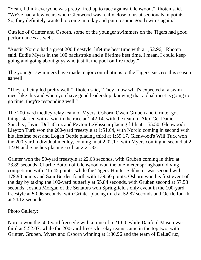"Yeah, I think everyone was pretty fired up to race against Glenwood," Rhoten said. "We've had a few years when Glenwood was really close to us at sectionals in points. So, they definitely wanted to come in today and put up some good swims again."

Outside of Grinter and Osborn, some of the younger swimmers on the Tigers had good performances as well.

"Austin Norcio had a great 200 freestyle, lifetime best time with a 1;52.96," Rhoten said. Eddie Myers in the 100 backstroke and a lifetime best time. I mean, I could keep going and going about guys who just lit the pool on fire today."

The younger swimmers have made major contributions to the Tigers' success this season as well.

"They're being led pretty well," Rhoten said, "They know what's expected at a swim meet like this and when you have good leadership, knowing that a dual meet is going to go time, they're responding well."

The 200-yard medley relay team of Myers, Osborn, Owen Gruben and Grinter got things started with a win in the race at 1:42.14, with the team of Alex Ge, Daniel Sanchez, Javier DeLaCruz and Peyton LeVasseur placing fifth at 1:55.50. Glenwood's Lleyton Turk won the 200-yard freestyle at 1:51.64, with Norcio coming in second with his lifetime best and Logan Oertle placing third at 1:59.17. Glenwood's Will Turk won the 200-yard individual medley, coming in at 2:02.17, with Myers coming in second at 2: 12.04 and Sanchez placing sixth at 2:21.33.

Grinter won the 50-yard freestyle at 22.63 seconds, with Gruben coming in third at 23.89 seconds. Charlie Batton of Glenwood won the one-meter springboard diving competition with 215.45 points, while the Tigers' Hunter Schlueter was second with 179.90 points and Sam Borden fourth with 139.60 points. Osborn won his first event of the day by taking the 100-yard butterfly at 55.84 seconds, with Gruben second at 57.58 seconds. Joshua Morgan of the Senators won Springfield's only event in the 100-yard freestyle at 50.06 seconds, with Grinter placing third at 52.87 seconds and Oertle fourth at 54.12 seconds.

Photo Gallery:

Norcio won the 500-yard freestyle with a time of 5:21.60, while Danford Mason was third at 5:52.07, while the 200-yard freestyle relay teams came in the top two, with Grinter, Gruben, Myers and Osborn winning at 1:30.96 and the team of DeLaCruz,